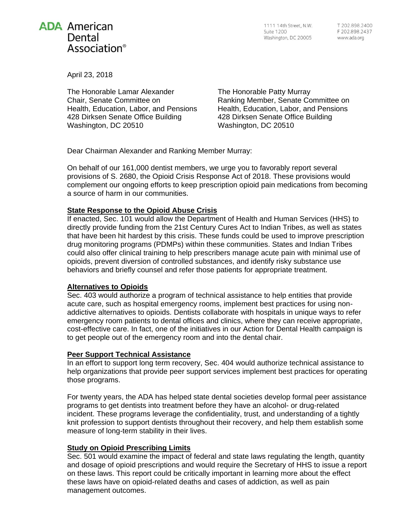

1111 14th Street, N.W. **Suite 1200** Washington, DC 20005

April 23, 2018

The Honorable Lamar Alexander Chair, Senate Committee on Health, Education, Labor, and Pensions 428 Dirksen Senate Office Building Washington, DC 20510

The Honorable Patty Murray Ranking Member, Senate Committee on Health, Education, Labor, and Pensions 428 Dirksen Senate Office Building Washington, DC 20510

Dear Chairman Alexander and Ranking Member Murray:

On behalf of our 161,000 dentist members, we urge you to favorably report several provisions of S. 2680, the Opioid Crisis Response Act of 2018. These provisions would complement our ongoing efforts to keep prescription opioid pain medications from becoming a source of harm in our communities.

## **State Response to the Opioid Abuse Crisis**

If enacted, Sec. 101 would allow the Department of Health and Human Services (HHS) to directly provide funding from the 21st Century Cures Act to Indian Tribes, as well as states that have been hit hardest by this crisis. These funds could be used to improve prescription drug monitoring programs (PDMPs) within these communities. States and Indian Tribes could also offer clinical training to help prescribers manage acute pain with minimal use of opioids, prevent diversion of controlled substances, and identify risky substance use behaviors and briefly counsel and refer those patients for appropriate treatment.

# **Alternatives to Opioids**

Sec. 403 would authorize a program of technical assistance to help entities that provide acute care, such as hospital emergency rooms, implement best practices for using nonaddictive alternatives to opioids. Dentists collaborate with hospitals in unique ways to refer emergency room patients to dental offices and clinics, where they can receive appropriate, cost-effective care. In fact, one of the initiatives in our Action for Dental Health campaign is to get people out of the emergency room and into the dental chair.

# **Peer Support Technical Assistance**

In an effort to support long term recovery, Sec. 404 would authorize technical assistance to help organizations that provide peer support services implement best practices for operating those programs.

For twenty years, the ADA has helped state dental societies develop formal peer assistance programs to get dentists into treatment before they have an alcohol- or drug-related incident. These programs leverage the confidentiality, trust, and understanding of a tightly knit profession to support dentists throughout their recovery, and help them establish some measure of long-term stability in their lives.

# **Study on Opioid Prescribing Limits**

Sec. 501 would examine the impact of federal and state laws regulating the length, quantity and dosage of opioid prescriptions and would require the Secretary of HHS to issue a report on these laws. This report could be critically important in learning more about the effect these laws have on opioid-related deaths and cases of addiction, as well as pain management outcomes.